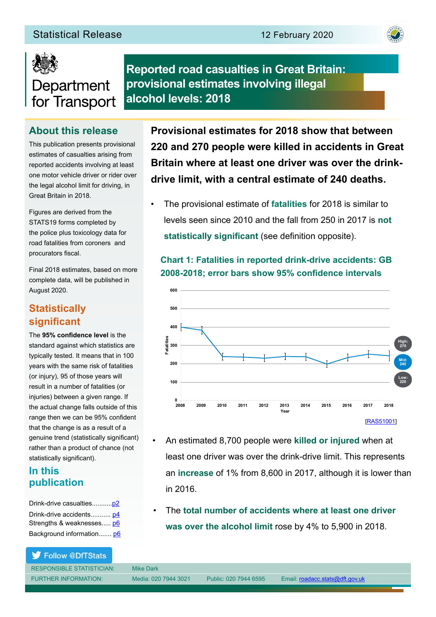



## **Reported road casualties in Great Britain: provisional estimates involving illegal alcohol levels: 2018**

## **About this release**

This publication presents provisional estimates of casualties arising from reported accidents involving at least one motor vehicle driver or rider over the legal alcohol limit for driving, in Great Britain in 2018.

Figures are derived from the STATS19 forms completed by the police plus toxicology data for road fatalities from coroners and procurators fiscal.

Final 2018 estimates, based on more complete data, will be published in August 2020.

## **Statistically signifcant**

The **95% confdence level** is the standard against which statistics are typically tested. It means that in 100 years with the same risk of fatalities (or injury), 95 of those years will result in a number of fatalities (or injuries) between a given range. If the actual change falls outside of this range then we can be 95% confdent that the change is as a result of a genuine trend (statistically signifcant) rather than a product of chance (not statistically significant).

### **In this publication**

Drink-drive casualties...........[p2](#page-1-0) Drink-drive accidents........... [p4](#page-3-0) Strengths & weaknesses..... [p6](#page-5-0) Background information....... [p6](#page-5-1)

Follow @DfTStats

RESPONSIBLE STATISTICIAN: Mike Dark

**Provisional estimates for 2018 show that between 220 and 270 people were killed in accidents in Great Britain where at least one driver was over the drinkdrive limit, with a central estimate of 240 deaths.** 

• The provisional estimate of **fatalities** for 2018 is similar to levels seen since 2010 and the fall from 250 in 2017 is **not statistically significant** (see definition opposite).

### **Chart 1: Fatalities in reported drink-drive accidents: GB 2008-2018; error bars show 95% confdence intervals**



- An estimated 8,700 people were **killed or injured** when at least one driver was over the drink-drive limit. This represents an **increase** of 1% from 8,600 in 2017, although it is lower than in 2016.
- The **total number of accidents where at least one driver was over the alcohol limit** rose by 4% to 5,900 in 2018.

FURTHER INFORMATION: Media: 020 7944 3021 Public: 020 7944 6595 Email: [roadacc.stats@dft.gov.uk](mailto:roadacc.stats@dft.gov.uk)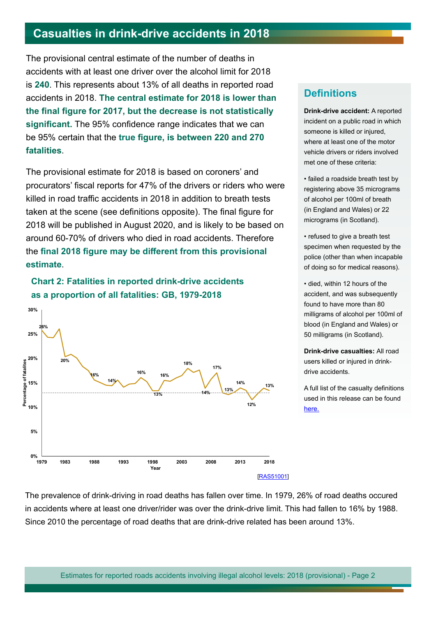## <span id="page-1-0"></span>**[Casualties in drink-drive accidents in 2018](#page-5-1)**

The provisional central estimate of the number of deaths in accidents with at least one driver over the alcohol limit for 2018 is **240**. This represents about 13% of all deaths in reported road accidents in 2018. **The central estimate for 2018 is lower than the fnal fgure for 2017, but the decrease is not statistically signifcant.** The 95% confdence range indicates that we can be 95% certain that the **true fgure, is between 220 and 270 fatalities**.

The provisional estimate for 2018 is based on coroners' and procurators' fiscal reports for 47% of the drivers or riders who were killed in road traffic accidents in 2018 in addition to breath tests taken at the scene (see definitions opposite). The final figure for 2018 will be published in August 2020, and is likely to be based on around 60-70% of drivers who died in road accidents. Therefore the **fnal 2018 fgure may be diferent from this provisional estimate**.





### **Definitions**

**Drink-drive accident:** A reported incident on a public road in which someone is killed or injured, where at least one of the motor vehicle drivers or riders involved met one of these criteria:

• failed a roadside breath test by registering above 35 micrograms of alcohol per 100ml of breath (in England and Wales) or 22 micrograms (in Scotland).

• refused to give a breath test specimen when requested by the police (other than when incapable of doing so for medical reasons).

• died, within 12 hours of the accident, and was subsequently found to have more than 80 milligrams of alcohol per 100ml of blood (in England and Wales) or 50 milligrams (in Scotland).

**Drink-drive casualties:** All road users killed or injured in drinkdrive accidents.

A full list of the casualty defnitions used in this release can be found [here](https://www.gov.uk/government/publications/road-accidents-and-safety-statistics-guidance).

The prevalence of drink-driving in road deaths has fallen over time. In 1979, 26% of road deaths occured in accidents where at least one driver/rider was over the drink-drive limit. This had fallen to 16% by 1988. Since 2010 the percentage of road deaths that are drink-drive related has been around 13%.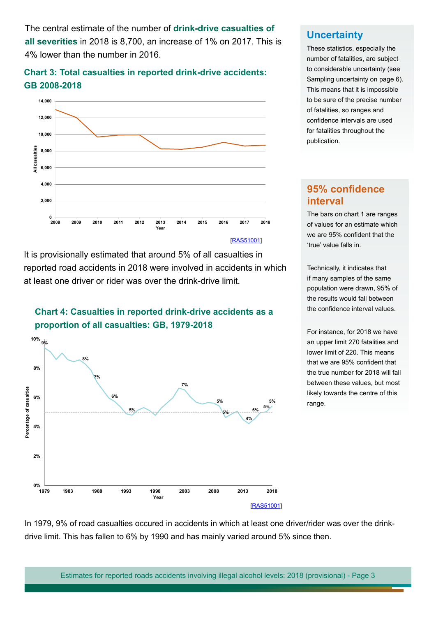The central estimate of the number of **drink-drive casualties of all severities** in 2018 is 8,700, an increase of 1% on 2017. This is 4% lower than the number in 2016.

### **Chart 3: Total casualties in reported drink-drive accidents: GB 2008-2018**



It is provisionally estimated that around 5% of all casualties in reported road accidents in 2018 were involved in accidents in which at least one driver or rider was over the drink-drive limit.





### **Uncertainty**

These statistics, especially the number of fatalities, are subject to considerable uncertainty (see Sampling uncertainty on page 6). This means that it is impossible to be sure of the precise number of fatalities, so ranges and confdence intervals are used for fatalities throughout the publication.

### **95% confdence interval**

The bars on chart 1 are ranges of values for an estimate which we are 95% confdent that the 'true' value falls in.

Technically, it indicates that if many samples of the same population were drawn, 95% of the results would fall between the confidence interval values.

For instance, for 2018 we have an upper limit 270 fatalities and lower limit of 220. This means that we are 95% confdent that the true number for 2018 will fall between these values, but most likely towards the centre of this range.

In 1979, 9% of road casualties occured in accidents in which at least one driver/rider was over the drinkdrive limit. This has fallen to 6% by 1990 and has mainly varied around 5% since then.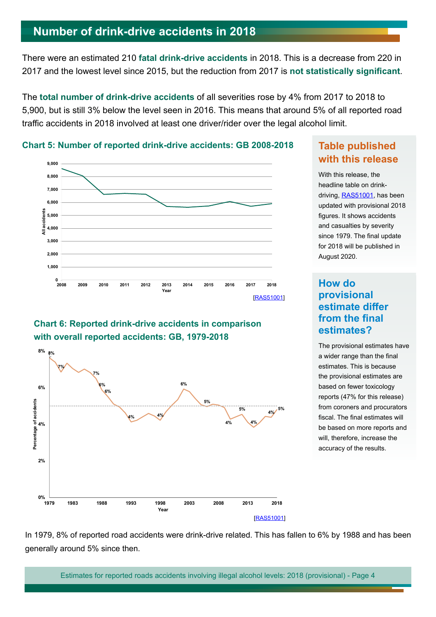## <span id="page-3-0"></span>**Number of drink-drive accidents in 2018**

There were an estimated 210 **fatal drink-drive accidents** in 2018. This is a decrease from 220 in 2017 and the lowest level since 2015, but the reduction from 2017 is **not statistically signifcant**.

The **total number of drink-drive accidents** of all severities rose by 4% from 2017 to 2018 to 5,900, but is still 3% below the level seen in 2016. This means that around 5% of all reported road traffic accidents in 2018 involved at least one driver/rider over the legal alcohol limit.



### **Chart 5: Number of reported drink-drive accidents: GB 2008-2018 Table published**

# **Chart 6: Reported drink-drive accidents in comparison**



## **with this release**

With this release, the headline table on drinkdriving, [RAS51001](https://assets.publishing.service.gov.uk/government/uploads/system/uploads/attachment_data/file/732349/ras51001.ods), has been updated with provisional 2018 figures. It shows accidents and casualties by severity since 1979. The final update for 2018 will be published in August 2020.

### **How do provisional estimate difer from the final estimates?**

The provisional estimates have a wider range than the final estimates. This is because the provisional estimates are based on fewer toxicology reports (47% for this release) from coroners and procurators fiscal. The final estimates will be based on more reports and will, therefore, increase the accuracy of the results.

In 1979, 8% of reported road accidents were drink-drive related. This has fallen to 6% by 1988 and has been generally around 5% since then.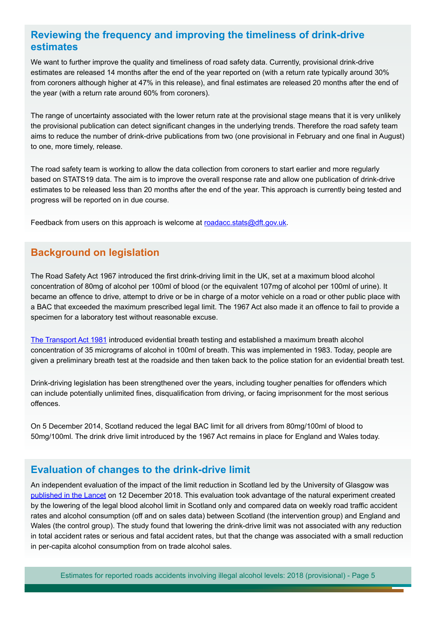### **Reviewing the frequency and improving the timeliness of drink-drive estimates**

We want to further improve the quality and timeliness of road safety data. Currently, provisional drink-drive estimates are released 14 months after the end of the year reported on (with a return rate typically around 30% from coroners although higher at 47% in this release), and fnal estimates are released 20 months after the end of the year (with a return rate around 60% from coroners).

The range of uncertainty associated with the lower return rate at the provisional stage means that it is very unlikely the provisional publication can detect signifcant changes in the underlying trends. Therefore the road safety team aims to reduce the number of drink-drive publications from two (one provisional in February and one fnal in August) to one, more timely, release.

The road safety team is working to allow the data collection from coroners to start earlier and more regularly based on STATS19 data. The aim is to improve the overall response rate and allow one publication of drink-drive estimates to be released less than 20 months after the end of the year. This approach is currently being tested and progress will be reported on in due course.

Feedback from users on this approach is welcome at [roadacc.stats@dft.gov.uk](mailto:roadacc.stats@dft.gov.uk).

### **Background on legislation**

The Road Safety Act 1967 introduced the first drink-driving limit in the UK, set at a maximum blood alcohol concentration of 80mg of alcohol per 100ml of blood (or the equivalent 107mg of alcohol per 100ml of urine). It became an ofence to drive, attempt to drive or be in charge of a motor vehicle on a road or other public place with a BAC that exceeded the maximum prescribed legal limit. The 1967 Act also made it an ofence to fail to provide a specimen for a laboratory test without reasonable excuse.

[The Transport Act 1981](https://www.legislation.gov.uk/ukpga/1981/56/contents) introduced evidential breath testing and established a maximum breath alcohol concentration of 35 micrograms of alcohol in 100ml of breath. This was implemented in 1983. Today, people are given a preliminary breath test at the roadside and then taken back to the police station for an evidential breath test.

Drink-driving legislation has been strengthened over the years, including tougher penalties for ofenders which can include potentially unlimited fnes, disqualifcation from driving, or facing imprisonment for the most serious offences.

On 5 December 2014, Scotland reduced the legal BAC limit for all drivers from 80mg/100ml of blood to 50mg/100ml. The drink drive limit introduced by the 1967 Act remains in place for England and Wales today.

### **Evaluation of changes to the drink-drive limit**

An independent evaluation of the impact of the limit reduction in Scotland led by the University of Glasgow was [published in the Lancet](https://www.thelancet.com/journals/lancet/article/PIIS0140-6736(18)32850-2/fulltext) on 12 December 2018. This evaluation took advantage of the natural experiment created by the lowering of the legal blood alcohol limit in Scotland only and compared data on weekly road traffic accident rates and alcohol consumption (off and on sales data) between Scotland (the intervention group) and England and Wales (the control group). The study found that lowering the drink-drive limit was not associated with any reduction in total accident rates or serious and fatal accident rates, but that the change was associated with a small reduction in per-capita alcohol consumption from on trade alcohol sales.